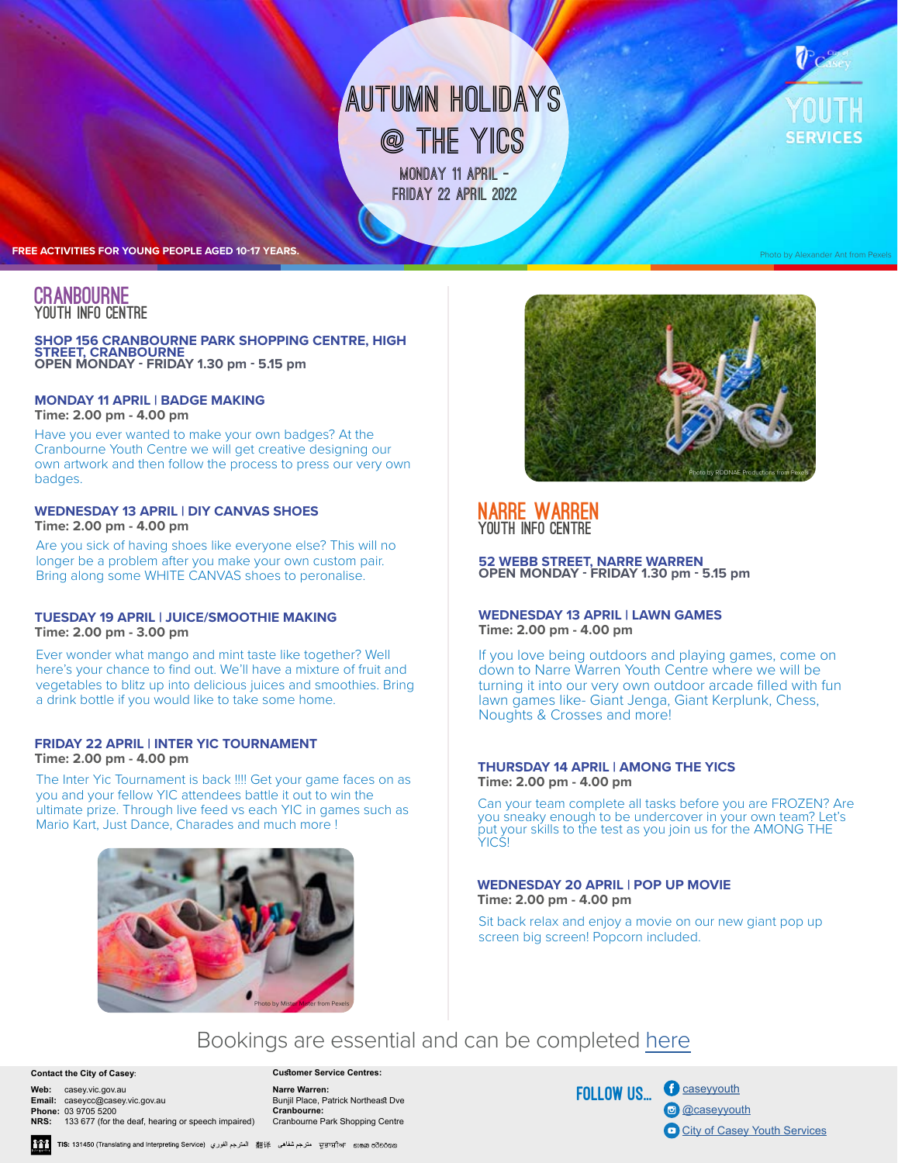# **Monday 11 april autumn HOLIDAYS @ THE YICS**

**friday 22 april 2022** 

**FREE ACTIVITIES FOR YOUNG PEOPLE AGED 10-17 YEARS.**

### **CRANBOURNE** Youth Info Centre

### **SHOP 156 CRANBOURNE PARK SHOPPING CENTRE, HIGH STREET, CRANBOURNE OPEN MONDAY - FRIDAY 1.30 pm - 5.15 pm**

### **MONDAY 11 APRIL | BADGE MAKING Time: 2.00 pm - 4.00 pm**

Have you ever wanted to make your own badges? At the Cranbourne Youth Centre we will get creative designing our own artwork and then follow the process to press our very own badges.

### **WEDNESDAY 13 APRIL | DIY CANVAS SHOES Time: 2.00 pm - 4.00 pm**

Are you sick of having shoes like everyone else? This will no longer be a problem after you make your own custom pair. Bring along some WHITE CANVAS shoes to peronalise.

### **TUESDAY 19 APRIL | JUICE/SMOOTHIE MAKING Time: 2.00 pm - 3.00 pm**

Ever wonder what mango and mint taste like together? Well here's your chance to find out. We'll have a mixture of fruit and vegetables to blitz up into delicious juices and smoothies. Bring a drink bottle if you would like to take some home.

### **FRIDAY 22 APRIL | INTER YIC TOURNAMENT Time: 2.00 pm - 4.00 pm**

The Inter Yic Tournament is back !!!! Get your game faces on as you and your fellow YIC attendees battle it out to win the ultimate prize. Through live feed vs each YIC in games such as Mario Kart, Just Dance, Charades and much more !





Photo by Alexander Ant from Pexels

## Narre Warren Youth Info Centre

**52 WEBB STREET, NARRE WARREN OPEN MONDAY - FRIDAY 1.30 pm - 5.15 pm**

### **WEDNESDAY 13 APRIL | LAWN GAMES Time: 2.00 pm - 4.00 pm**

If you love being outdoors and playing games, come on down to Narre Warren Youth Centre where we will be turning it into our very own outdoor arcade filled with fun lawn games like- Giant Jenga, Giant Kerplunk, Chess, Noughts & Crosses and more!

### **THURSDAY 14 APRIL | AMONG THE YICS Time: 2.00 pm - 4.00 pm**

Can your team complete all tasks before you are FROZEN? Are you sneaky enough to be undercover in your own team? Let's put your skills to the test as you join us for the AMONG THE YICS!

### **WEDNESDAY 20 APRIL | POP UP MOVIE Time: 2.00 pm - 4.00 pm**

Sit back relax and enjoy a movie on our new giant pop up screen big screen! Popcorn included.

# Bookings are essential and can be completed [here](https://www.trybooking.com/BYHDX)

#### **Contact the City of Casey**:

**Web:** casey.vic.gov.au **Email:** caseycc@casey.vic.gov.au **Phone:** 03 9705 5200

**NRS:** 133 677 (for the deaf, hearing or speech impaired)

**Customer Service Centres: Narre Warren:** Bunjil Place, Patrick Northeast Dve **Cranbourne:** Cranbourne Park Shopping Centre

FOLLOW US...

**f** [caseyyouth](https://www.facebook.com/caseyyouthservices/) co [@caseyyouth](https://www.instagram.com/caseyyouthservices/) [City of Casey Youth Services](https://www.youtube.com/channel/UC9y7EV8LM-jQgPiVhKVdKQg/featured)

m